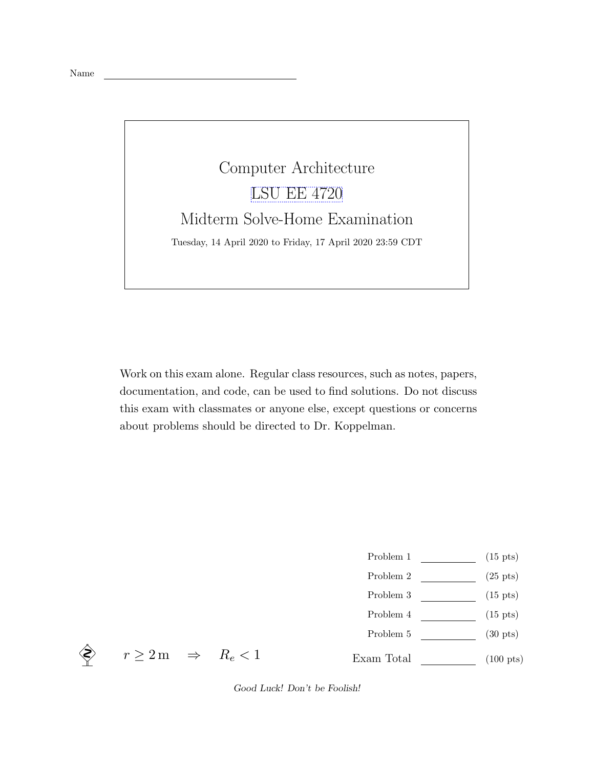Name

## Computer Architecture [LSU EE 4720](https://www.ece.lsu.edu/ee4720/) Midterm Solve-Home Examination Tuesday, 14 April 2020 to Friday, 17 April 2020 23:59 CDT

Work on this exam alone. Regular class resources, such as notes, papers, documentation, and code, can be used to find solutions. Do not discuss this exam with classmates or anyone else, except questions or concerns about problems should be directed to Dr. Koppelman.

- Problem 1  $\qquad \qquad$  (15 pts)
- Problem 2  $\qquad \qquad$  (25 pts)
- Problem 3  $\qquad \qquad$  (15 pts)
- Problem 4  $\qquad \qquad$  (15 pts)
- Problem 5  $(30 \text{ pts})$

Exam Total (100 pts)

 $\Leftrightarrow$   $r \geq 2 \,\mathrm{m}$   $\Rightarrow$   $R_e < 1$ 

Good Luck! Don't be Foolish!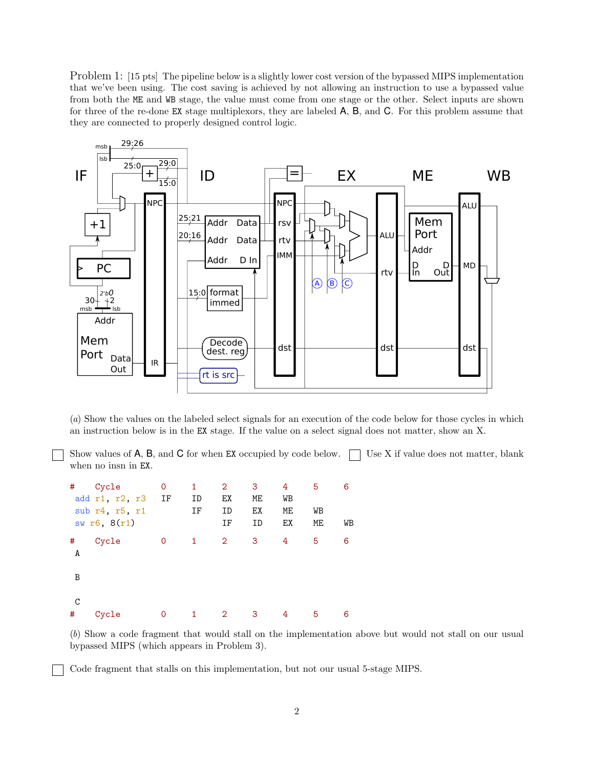Problem 1: [15 pts] The pipeline below is a slightly lower cost version of the bypassed MIPS implementation that we've been using. The cost saving is achieved by not allowing an instruction to use a bypassed value from both the ME and WB stage, the value must come from one stage or the other. Select inputs are shown for three of the re-done EX stage multiplexors, they are labeled A, B, and C. For this problem assume that they are connected to properly designed control logic.



(a) Show the values on the labeled select signals for an execution of the code below for those cycles in which an instruction below is in the EX stage. If the value on a select signal does not matter, show an X.

Show values of  $A$ ,  $B$ , and  $C$  for when EX occupied by code below.  $\Box$  Use X if value does not matter, blank when no insn in EX.

| #      | Cycle<br>add r1, r2, r3        | 0<br>IF  | 1<br>ID | $\overline{2}$<br>EX | 3<br>ME  | 4<br>WB  | 5        | 6  |
|--------|--------------------------------|----------|---------|----------------------|----------|----------|----------|----|
|        | sub r4, r5, r1<br>sw r6, 8(r1) |          | ΙF      | ID<br>IF             | EX<br>ID | МE<br>EX | WB<br>ME | WB |
| #<br>A | Cycle                          | 0        | 1       | 2                    | 3        | 4        | 5        | 6  |
| B      |                                |          |         |                      |          |          |          |    |
| C<br># | Cycle                          | $\Omega$ | 1       | $\overline{2}$       | 3        | 4        | 5        | 6  |

(b) Show a code fragment that would stall on the implementation above but would not stall on our usual bypassed MIPS (which appears in Problem 3).

Code fragment that stalls on this implementation, but not our usual 5-stage MIPS.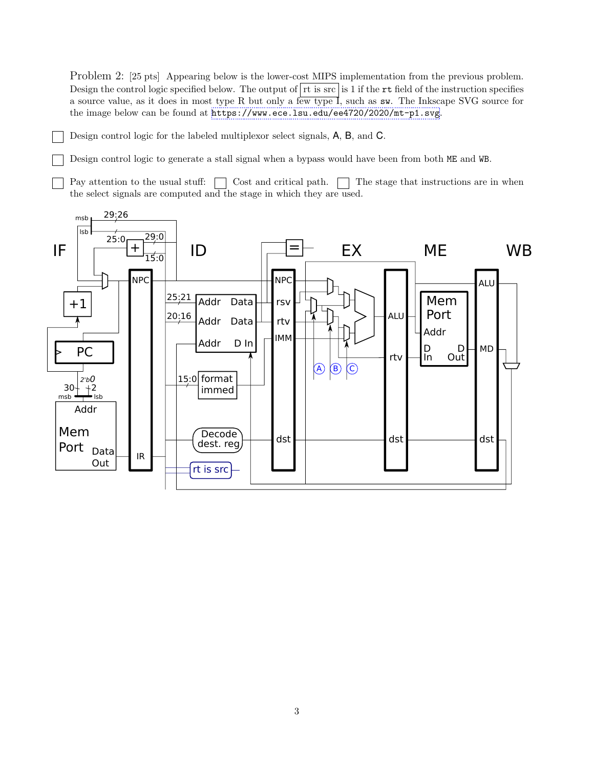Problem 2: [25 pts] Appearing below is the lower-cost MIPS implementation from the previous problem. Design the control logic specified below. The output of  $rt$  is  $\frac{1}{st}$  is 1 if the  $rt$  field of the instruction specifies a source value, as it does in most type R but only a few type I, such as sw. The Inkscape SVG source for the image below can be found at <https://www.ece.lsu.edu/ee4720/2020/mt-p1.svg>.

Design control logic for the labeled multiplexor select signals, A, B, and C.

Design control logic to generate a stall signal when a bypass would have been from both ME and WB.

Pay attention to the usual stuff:  $\Box$  Cost and critical path.  $\Box$  The stage that instructions are in when the select signals are computed and the stage in which they are used.

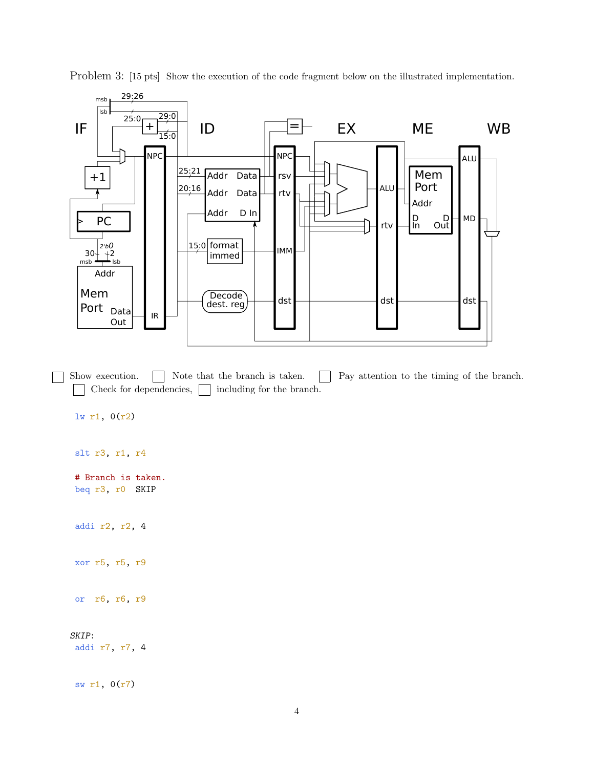

Problem 3: [15 pts] Show the execution of the code fragment below on the illustrated implementation.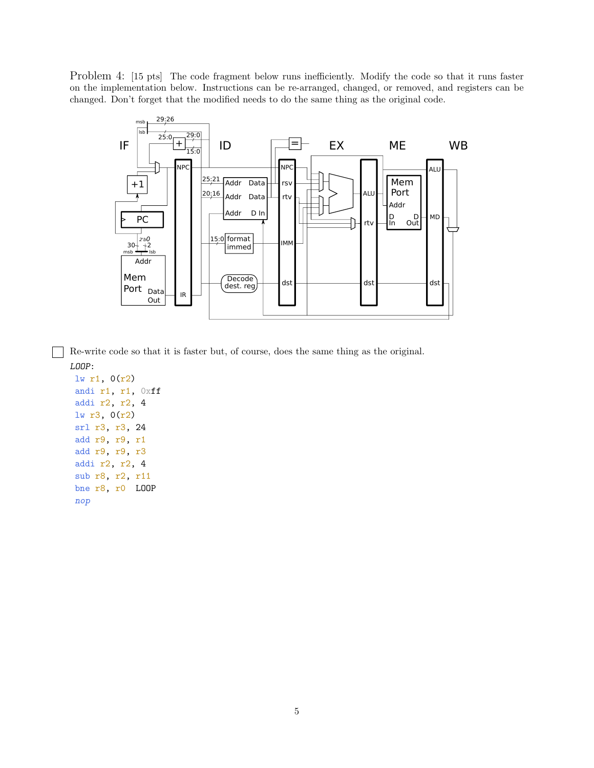Problem 4: [15 pts] The code fragment below runs inefficiently. Modify the code so that it runs faster on the implementation below. Instructions can be re-arranged, changed, or removed, and registers can be changed. Don't forget that the modified needs to do the same thing as the original code.



Re-write code so that it is faster but, of course, does the same thing as the original.

```
LOOP:
lw r1, 0(r2)
andi r1, r1, 0xff
addi r2, r2, 4
lw r3, 0(r2)
srl r3, r3, 24
add r9, r9, r1
add r9, r9, r3
addi r2, r2, 4
sub r8, r2, r11
bne r8, r0 LOOP
nop
```
 $\overline{\phantom{0}}$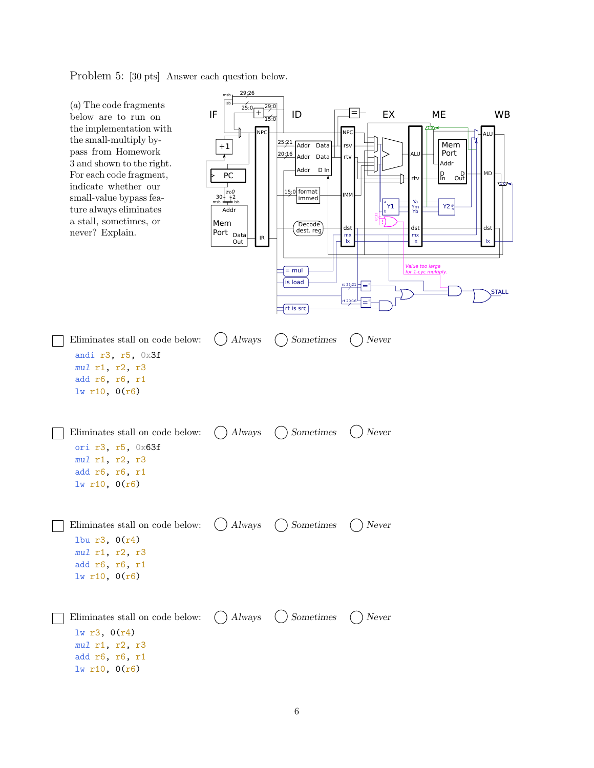Problem 5: [30 pts] Answer each question below.

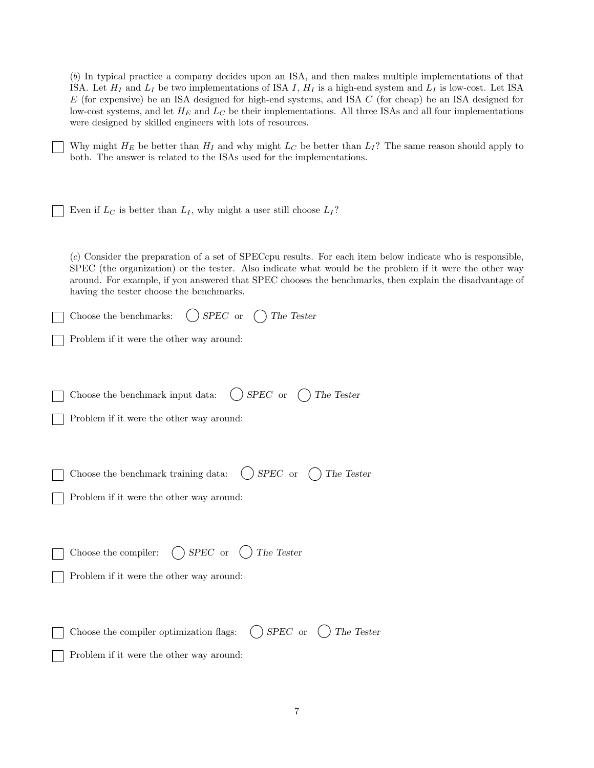| (b) In typical practice a company decides upon an ISA, and then makes multiple implementations of that<br>ISA. Let $H_I$ and $L_I$ be two implementations of ISA I, $H_I$ is a high-end system and $L_I$ is low-cost. Let ISA<br>$E$ (for expensive) be an ISA designed for high-end systems, and ISA $C$ (for cheap) be an ISA designed for<br>low-cost systems, and let $H_E$ and $L_C$ be their implementations. All three ISAs and all four implementations<br>were designed by skilled engineers with lots of resources. |
|-------------------------------------------------------------------------------------------------------------------------------------------------------------------------------------------------------------------------------------------------------------------------------------------------------------------------------------------------------------------------------------------------------------------------------------------------------------------------------------------------------------------------------|
| Why might $H_E$ be better than $H_I$ and why might $L_C$ be better than $L_I$ ? The same reason should apply to<br>both. The answer is related to the ISAs used for the implementations.                                                                                                                                                                                                                                                                                                                                      |
| Even if $L_C$ is better than $L_I$ , why might a user still choose $L_I$ ?                                                                                                                                                                                                                                                                                                                                                                                                                                                    |
| (c) Consider the preparation of a set of SPECcpu results. For each item below indicate who is responsible,<br>SPEC (the organization) or the tester. Also indicate what would be the problem if it were the other way<br>around. For example, if you answered that SPEC chooses the benchmarks, then explain the disadvantage of<br>having the tester choose the benchmarks.                                                                                                                                                  |
| SPEC or<br>Choose the benchmarks:<br>The Tester                                                                                                                                                                                                                                                                                                                                                                                                                                                                               |
| Problem if it were the other way around:                                                                                                                                                                                                                                                                                                                                                                                                                                                                                      |
| $SPEC\;$ or<br>The Tester<br>Choose the benchmark input data:                                                                                                                                                                                                                                                                                                                                                                                                                                                                 |
| Problem if it were the other way around:                                                                                                                                                                                                                                                                                                                                                                                                                                                                                      |
| SPEC or<br>Choose the benchmark training data:<br>The Tester                                                                                                                                                                                                                                                                                                                                                                                                                                                                  |
| Problem if it were the other way around:                                                                                                                                                                                                                                                                                                                                                                                                                                                                                      |
| $\bigcap$ SPEC or $($<br>The Tester<br>Choose the compiler:                                                                                                                                                                                                                                                                                                                                                                                                                                                                   |
| Problem if it were the other way around:                                                                                                                                                                                                                                                                                                                                                                                                                                                                                      |
| $SPEC$ or $( )$<br>The Tester<br>Choose the compiler optimization flags:                                                                                                                                                                                                                                                                                                                                                                                                                                                      |
| Problem if it were the other way around:                                                                                                                                                                                                                                                                                                                                                                                                                                                                                      |